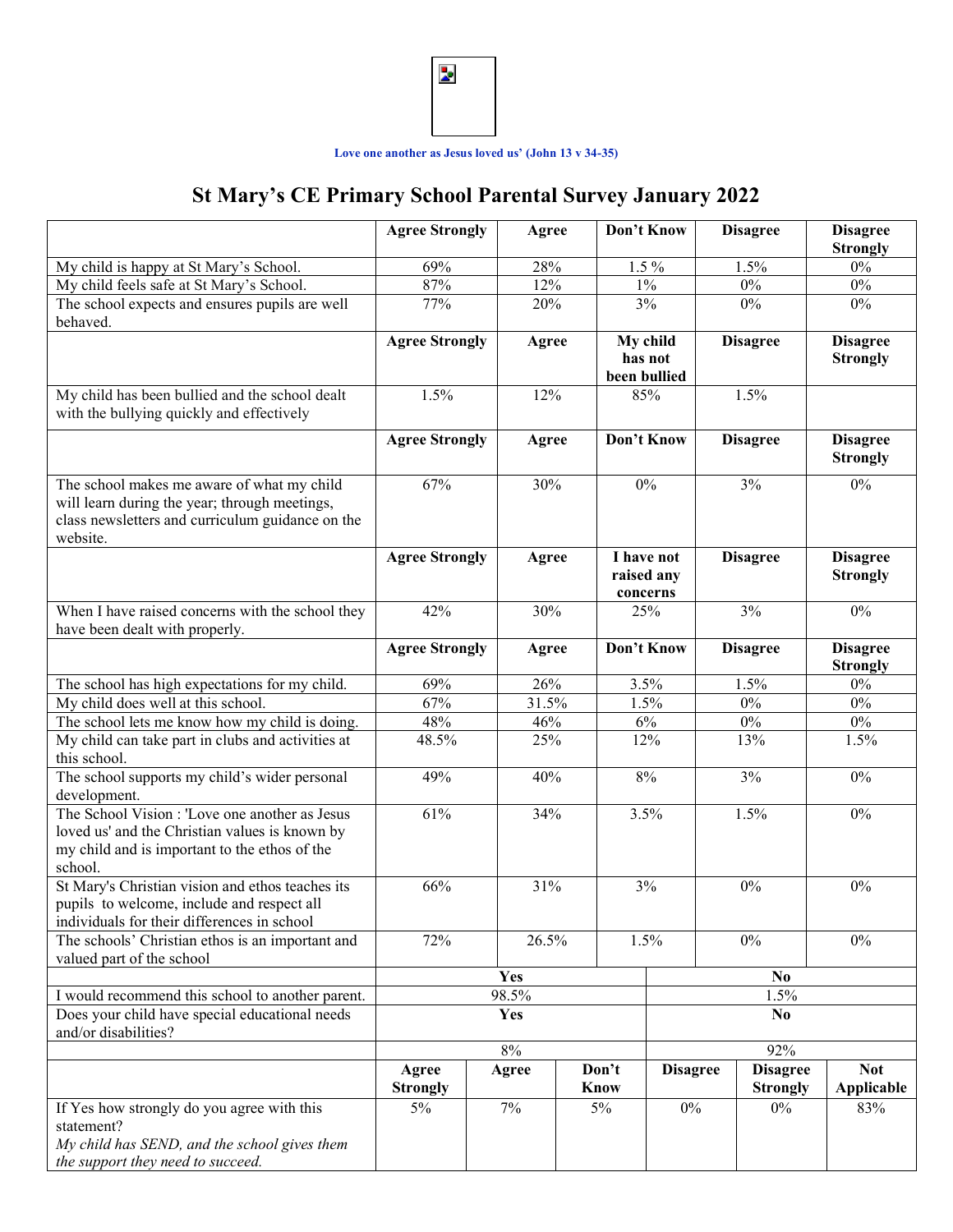

## **Love one another as Jesus loved us' (John 13 v 34-35)**

## **St Mary's CE Primary School Parental Survey January 2022**

|                                                                                                                                                              | <b>Agree Strongly</b>        |       | Agree |              | Don't Know                              |       | <b>Disagree</b>                    | <b>Disagree</b><br><b>Strongly</b> |
|--------------------------------------------------------------------------------------------------------------------------------------------------------------|------------------------------|-------|-------|--------------|-----------------------------------------|-------|------------------------------------|------------------------------------|
| My child is happy at St Mary's School.                                                                                                                       | 69%                          |       | 28%   |              | $1.5\%$                                 |       | 1.5%                               | $0\%$                              |
| My child feels safe at St Mary's School.                                                                                                                     | 87%                          | 12%   | $1\%$ |              |                                         | $0\%$ |                                    | $0\%$                              |
| The school expects and ensures pupils are well                                                                                                               | 77%                          |       | 20%   |              | 3%                                      |       | $0\%$                              | $0\%$                              |
| behaved.                                                                                                                                                     |                              |       |       |              |                                         |       |                                    |                                    |
|                                                                                                                                                              | <b>Agree Strongly</b>        | Agree |       | been bullied | My child<br>has not                     |       | <b>Disagree</b>                    | <b>Disagree</b><br><b>Strongly</b> |
| My child has been bullied and the school dealt<br>with the bullying quickly and effectively                                                                  | 1.5%                         |       | 12%   |              | 85%                                     |       | 1.5%                               |                                    |
|                                                                                                                                                              | <b>Agree Strongly</b>        |       | Agree |              | Don't Know                              |       | <b>Disagree</b>                    | <b>Disagree</b><br><b>Strongly</b> |
| The school makes me aware of what my child<br>will learn during the year; through meetings,<br>class newsletters and curriculum guidance on the<br>website.  | 67%                          |       | 30%   |              | 0%                                      |       | 3%                                 | $0\%$                              |
|                                                                                                                                                              | <b>Agree Strongly</b>        |       | Agree |              | I have not<br>raised any<br>concerns    |       | <b>Disagree</b>                    | <b>Disagree</b><br><b>Strongly</b> |
| When I have raised concerns with the school they<br>have been dealt with properly.                                                                           | 42%                          |       | 30%   |              | 25%                                     |       | 3%                                 | $0\%$                              |
|                                                                                                                                                              | <b>Agree Strongly</b>        |       | Agree |              | Don't Know                              |       | <b>Disagree</b>                    | <b>Disagree</b><br><b>Strongly</b> |
| The school has high expectations for my child.                                                                                                               | 69%                          |       | 26%   |              | 3.5%                                    |       | 1.5%                               | $0\%$                              |
| My child does well at this school.                                                                                                                           | 67%                          |       | 31.5% |              | 1.5%                                    |       | $0\%$                              | $0\%$                              |
| The school lets me know how my child is doing.                                                                                                               | 48%                          |       | 46%   |              | 6%                                      |       | $0\%$                              | $0\%$                              |
| My child can take part in clubs and activities at<br>this school.                                                                                            | 48.5%                        |       | 25%   |              | 12%                                     |       | 13%                                | 1.5%                               |
| The school supports my child's wider personal<br>development.                                                                                                | 49%                          |       | 40%   |              | 8%                                      |       | 3%                                 | $0\%$                              |
| The School Vision : 'Love one another as Jesus<br>loved us' and the Christian values is known by<br>my child and is important to the ethos of the<br>school. | 61%                          |       | 34%   |              | 3.5%                                    |       | 1.5%                               | $0\%$                              |
| St Mary's Christian vision and ethos teaches its<br>pupils to welcome, include and respect all<br>individuals for their differences in school                | 66%                          |       | 31%   |              | 3%                                      |       | $0\%$                              | $0\%$                              |
| The schools' Christian ethos is an important and<br>valued part of the school                                                                                | 72%                          |       | 26.5% |              | 1.5%                                    |       | $0\%$                              | $0\%$                              |
|                                                                                                                                                              | <b>Yes</b><br>N <sub>0</sub> |       |       |              |                                         |       |                                    |                                    |
| I would recommend this school to another parent.                                                                                                             | 98.5%                        |       |       |              | 1.5%                                    |       |                                    |                                    |
| Does your child have special educational needs<br>and/or disabilities?                                                                                       | <b>Yes</b><br>N <sub>0</sub> |       |       |              |                                         |       |                                    |                                    |
|                                                                                                                                                              | $8\%$                        |       |       |              | 92%                                     |       |                                    |                                    |
|                                                                                                                                                              | Agree<br><b>Strongly</b>     | Agree |       |              | Don't<br><b>Disagree</b><br><b>Know</b> |       | <b>Disagree</b><br><b>Strongly</b> | <b>Not</b><br>Applicable           |
| If Yes how strongly do you agree with this<br>statement?<br>My child has SEND, and the school gives them<br>the support they need to succeed.                | $5\%$                        | $7\%$ |       | $5\%$        | $0\%$                                   |       | $0\%$                              | 83%                                |